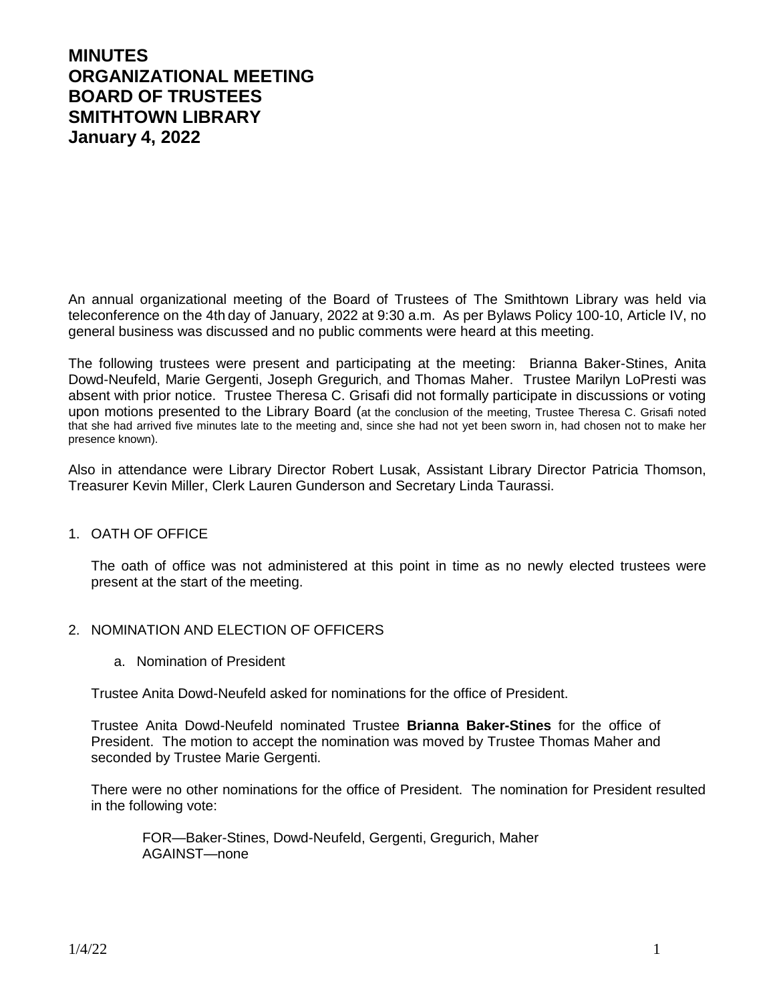# **MINUTES ORGANIZATIONAL MEETING BOARD OF TRUSTEES SMITHTOWN LIBRARY January 4, 2022**

An annual organizational meeting of the Board of Trustees of The Smithtown Library was held via teleconference on the 4th day of January, 2022 at 9:30 a.m. As per Bylaws Policy 100-10, Article IV, no general business was discussed and no public comments were heard at this meeting.

The following trustees were present and participating at the meeting: Brianna Baker-Stines, Anita Dowd-Neufeld, Marie Gergenti, Joseph Gregurich, and Thomas Maher. Trustee Marilyn LoPresti was absent with prior notice. Trustee Theresa C. Grisafi did not formally participate in discussions or voting upon motions presented to the Library Board (at the conclusion of the meeting, Trustee Theresa C. Grisafi noted that she had arrived five minutes late to the meeting and, since she had not yet been sworn in, had chosen not to make her presence known).

Also in attendance were Library Director Robert Lusak, Assistant Library Director Patricia Thomson, Treasurer Kevin Miller, Clerk Lauren Gunderson and Secretary Linda Taurassi.

# 1. OATH OF OFFICE

The oath of office was not administered at this point in time as no newly elected trustees were present at the start of the meeting.

#### 2. NOMINATION AND ELECTION OF OFFICERS

a. Nomination of President

Trustee Anita Dowd-Neufeld asked for nominations for the office of President.

Trustee Anita Dowd-Neufeld nominated Trustee **Brianna Baker-Stines** for the office of President. The motion to accept the nomination was moved by Trustee Thomas Maher and seconded by Trustee Marie Gergenti.

There were no other nominations for the office of President. The nomination for President resulted in the following vote:

FOR—Baker-Stines, Dowd-Neufeld, Gergenti, Gregurich, Maher AGAINST—none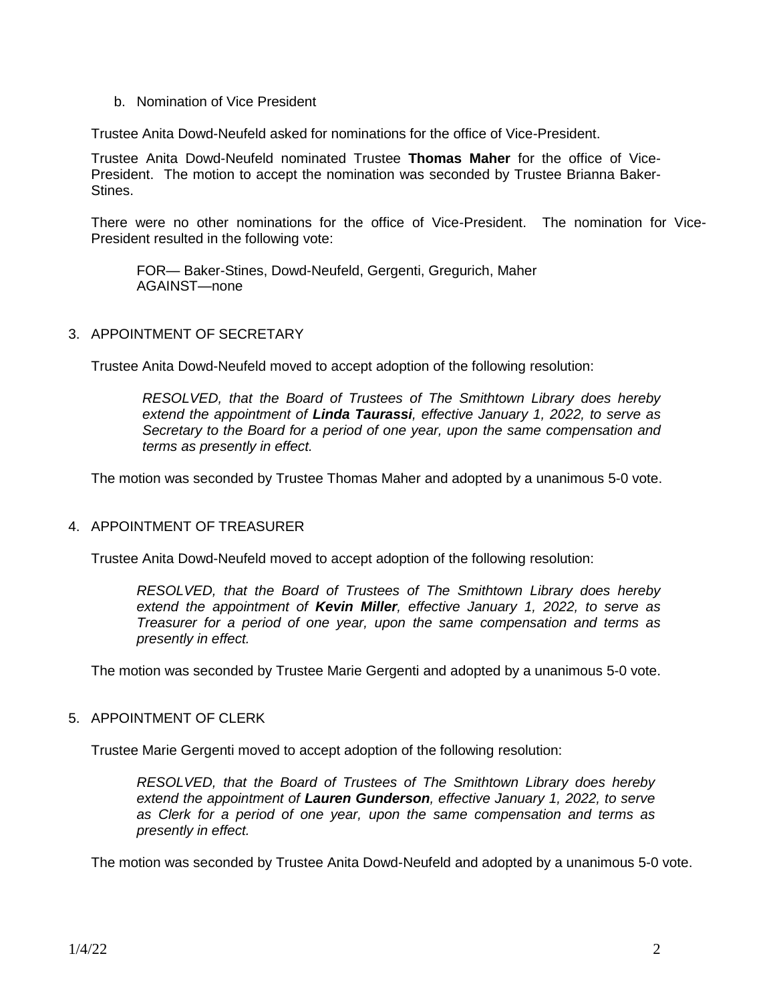b. Nomination of Vice President

Trustee Anita Dowd-Neufeld asked for nominations for the office of Vice-President.

Trustee Anita Dowd-Neufeld nominated Trustee **Thomas Maher** for the office of Vice-President. The motion to accept the nomination was seconded by Trustee Brianna Baker-Stines.

There were no other nominations for the office of Vice-President. The nomination for Vice-President resulted in the following vote:

FOR— Baker-Stines, Dowd-Neufeld, Gergenti, Gregurich, Maher AGAINST—none

## 3. APPOINTMENT OF SECRETARY

Trustee Anita Dowd-Neufeld moved to accept adoption of the following resolution:

*RESOLVED, that the Board of Trustees of The Smithtown Library does hereby extend the appointment of Linda Taurassi, effective January 1, 2022, to serve as Secretary to the Board for a period of one year, upon the same compensation and terms as presently in effect.*

The motion was seconded by Trustee Thomas Maher and adopted by a unanimous 5-0 vote.

# 4. APPOINTMENT OF TREASURER

Trustee Anita Dowd-Neufeld moved to accept adoption of the following resolution:

*RESOLVED, that the Board of Trustees of The Smithtown Library does hereby extend the appointment of Kevin Miller, effective January 1, 2022, to serve as Treasurer for a period of one year, upon the same compensation and terms as presently in effect.*

The motion was seconded by Trustee Marie Gergenti and adopted by a unanimous 5-0 vote.

### 5. APPOINTMENT OF CLERK

Trustee Marie Gergenti moved to accept adoption of the following resolution:

*RESOLVED, that the Board of Trustees of The Smithtown Library does hereby extend the appointment of Lauren Gunderson, effective January 1, 2022, to serve as Clerk for a period of one year, upon the same compensation and terms as presently in effect.*

The motion was seconded by Trustee Anita Dowd-Neufeld and adopted by a unanimous 5-0 vote.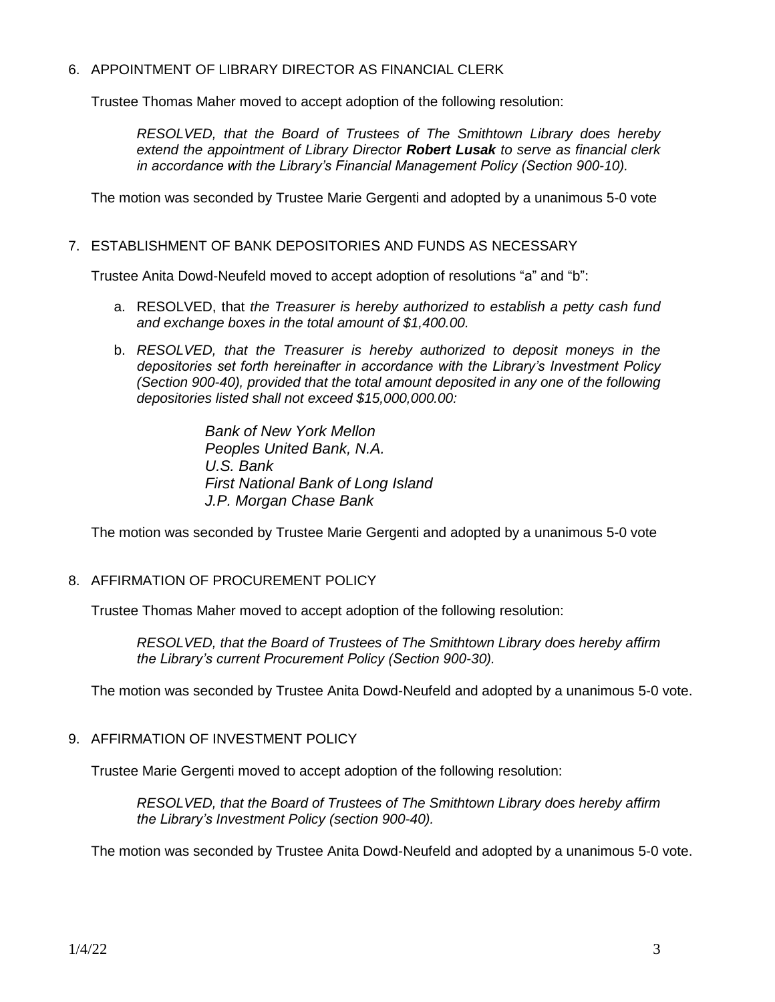## 6. APPOINTMENT OF LIBRARY DIRECTOR AS FINANCIAL CLERK

Trustee Thomas Maher moved to accept adoption of the following resolution:

*RESOLVED, that the Board of Trustees of The Smithtown Library does hereby extend the appointment of Library Director Robert Lusak to serve as financial clerk in accordance with the Library's Financial Management Policy (Section 900-10).*

The motion was seconded by Trustee Marie Gergenti and adopted by a unanimous 5-0 vote

### 7. ESTABLISHMENT OF BANK DEPOSITORIES AND FUNDS AS NECESSARY

Trustee Anita Dowd-Neufeld moved to accept adoption of resolutions "a" and "b":

- a. RESOLVED, that *the Treasurer is hereby authorized to establish a petty cash fund and exchange boxes in the total amount of \$1,400.00.*
- b. *RESOLVED, that the Treasurer is hereby authorized to deposit moneys in the depositories set forth hereinafter in accordance with the Library's Investment Policy (Section 900-40), provided that the total amount deposited in any one of the following depositories listed shall not exceed \$15,000,000.00:*

*Bank of New York Mellon Peoples United Bank, N.A. U.S. Bank First National Bank of Long Island J.P. Morgan Chase Bank*

The motion was seconded by Trustee Marie Gergenti and adopted by a unanimous 5-0 vote

### 8. AFFIRMATION OF PROCUREMENT POLICY

Trustee Thomas Maher moved to accept adoption of the following resolution:

*RESOLVED, that the Board of Trustees of The Smithtown Library does hereby affirm the Library's current Procurement Policy (Section 900-30).*

The motion was seconded by Trustee Anita Dowd-Neufeld and adopted by a unanimous 5-0 vote.

# 9. AFFIRMATION OF INVESTMENT POLICY

Trustee Marie Gergenti moved to accept adoption of the following resolution:

*RESOLVED, that the Board of Trustees of The Smithtown Library does hereby affirm the Library's Investment Policy (section 900-40).*

The motion was seconded by Trustee Anita Dowd-Neufeld and adopted by a unanimous 5-0 vote.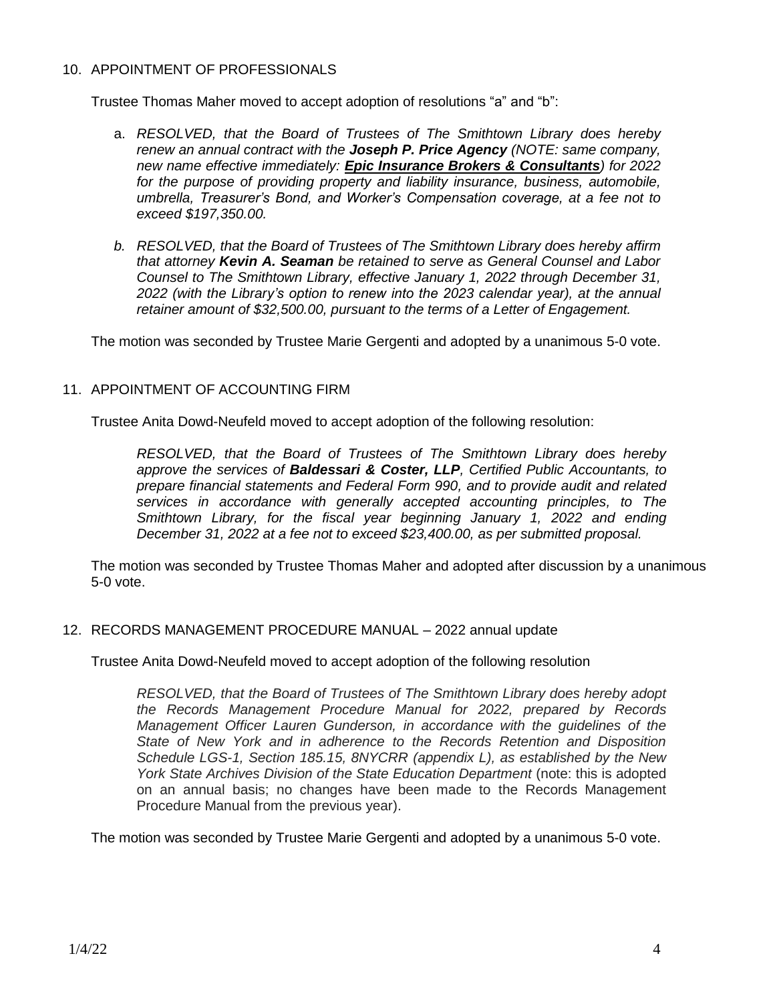## 10. APPOINTMENT OF PROFESSIONALS

Trustee Thomas Maher moved to accept adoption of resolutions "a" and "b":

- a. *RESOLVED, that the Board of Trustees of The Smithtown Library does hereby renew an annual contract with the Joseph P. Price Agency (NOTE: same company, new name effective immediately: Epic Insurance Brokers & Consultants) for 2022 for the purpose of providing property and liability insurance, business, automobile, umbrella, Treasurer's Bond, and Worker's Compensation coverage, at a fee not to exceed \$197,350.00.*
- *b. RESOLVED, that the Board of Trustees of The Smithtown Library does hereby affirm that attorney Kevin A. Seaman be retained to serve as General Counsel and Labor Counsel to The Smithtown Library, effective January 1, 2022 through December 31, 2022 (with the Library's option to renew into the 2023 calendar year), at the annual retainer amount of \$32,500.00, pursuant to the terms of a Letter of Engagement.*

The motion was seconded by Trustee Marie Gergenti and adopted by a unanimous 5-0 vote.

## 11. APPOINTMENT OF ACCOUNTING FIRM

Trustee Anita Dowd-Neufeld moved to accept adoption of the following resolution:

*RESOLVED, that the Board of Trustees of The Smithtown Library does hereby approve the services of Baldessari & Coster, LLP, Certified Public Accountants, to prepare financial statements and Federal Form 990, and to provide audit and related services in accordance with generally accepted accounting principles, to The Smithtown Library, for the fiscal year beginning January 1, 2022 and ending December 31, 2022 at a fee not to exceed \$23,400.00, as per submitted proposal.*

The motion was seconded by Trustee Thomas Maher and adopted after discussion by a unanimous 5-0 vote.

#### 12. RECORDS MANAGEMENT PROCEDURE MANUAL – 2022 annual update

Trustee Anita Dowd-Neufeld moved to accept adoption of the following resolution

*RESOLVED, that the Board of Trustees of The Smithtown Library does hereby adopt the Records Management Procedure Manual for 2022, prepared by Records Management Officer Lauren Gunderson, in accordance with the guidelines of the State of New York and in adherence to the Records Retention and Disposition Schedule LGS-1, Section 185.15, 8NYCRR (appendix L), as established by the New York State Archives Division of the State Education Department (note: this is adopted* on an annual basis; no changes have been made to the Records Management Procedure Manual from the previous year).

The motion was seconded by Trustee Marie Gergenti and adopted by a unanimous 5-0 vote.